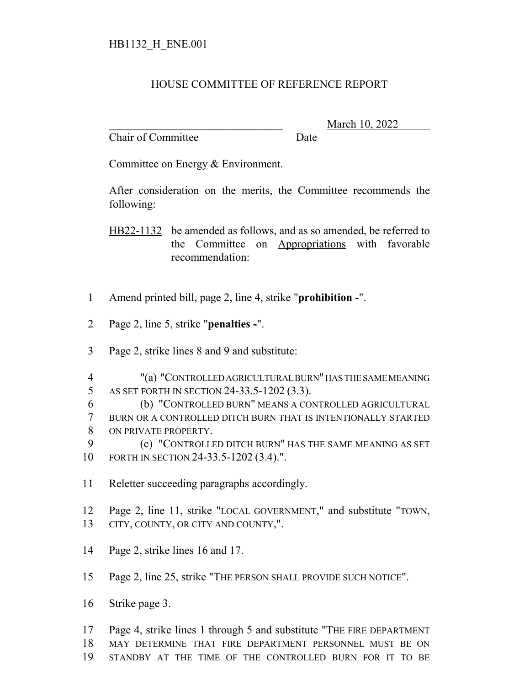## HOUSE COMMITTEE OF REFERENCE REPORT

Chair of Committee Date

\_\_\_\_\_\_\_\_\_\_\_\_\_\_\_\_\_\_\_\_\_\_\_\_\_\_\_\_\_\_\_ March 10, 2022

Committee on Energy & Environment.

After consideration on the merits, the Committee recommends the following:

HB22-1132 be amended as follows, and as so amended, be referred to the Committee on Appropriations with favorable recommendation:

- Amend printed bill, page 2, line 4, strike "**prohibition -**".
- Page 2, line 5, strike "**penalties -**".
- Page 2, strike lines 8 and 9 and substitute:
- "(a) "CONTROLLED AGRICULTURAL BURN" HAS THE SAME MEANING AS SET FORTH IN SECTION 24-33.5-1202 (3.3).
- (b) "CONTROLLED BURN" MEANS A CONTROLLED AGRICULTURAL BURN OR A CONTROLLED DITCH BURN THAT IS INTENTIONALLY STARTED ON PRIVATE PROPERTY.

 (c) "CONTROLLED DITCH BURN" HAS THE SAME MEANING AS SET FORTH IN SECTION 24-33.5-1202 (3.4).".

Reletter succeeding paragraphs accordingly.

 Page 2, line 11, strike "LOCAL GOVERNMENT," and substitute "TOWN, CITY, COUNTY, OR CITY AND COUNTY,".

Page 2, strike lines 16 and 17.

Page 2, line 25, strike "THE PERSON SHALL PROVIDE SUCH NOTICE".

Strike page 3.

 Page 4, strike lines 1 through 5 and substitute "THE FIRE DEPARTMENT MAY DETERMINE THAT FIRE DEPARTMENT PERSONNEL MUST BE ON

STANDBY AT THE TIME OF THE CONTROLLED BURN FOR IT TO BE